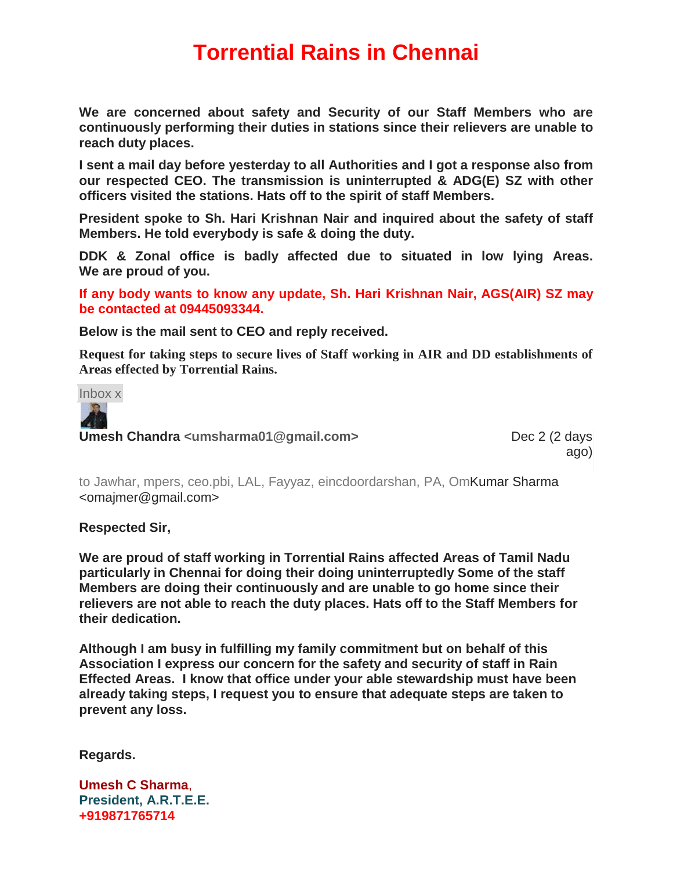## **Torrential Rains in Chennai**

**We are concerned about safety and Security of our Staff Members who are continuously performing their duties in stations since their relievers are unable to reach duty places.**

**I sent a mail day before yesterday to all Authorities and I got a response also from our respected CEO. The transmission is uninterrupted & ADG(E) SZ with other officers visited the stations. Hats off to the spirit of staff Members.**

**President spoke to Sh. Hari Krishnan Nair and inquired about the safety of staff Members. He told everybody is safe & doing the duty.**

**DDK & Zonal office is badly affected due to situated in low lying Areas. We are proud of you.**

**If any body wants to know any update, Sh. Hari Krishnan Nair, AGS(AIR) SZ may be contacted at 09445093344.**

**Below is the mail sent to CEO and reply received.**

**Request for taking steps to secure lives of Staff working in AIR and DD establishments of Areas effected by Torrential Rains.**

Inbox x



**Umesh Chandra** <umsharma01@gmail.com> Dec 2 (2 days

ago)

to Jawhar, mpers, ceo.pbi, LAL, Fayyaz, eincdoordarshan, PA, OmKumar Sharma <omajmer@gmail.com>

**Respected Sir,**

**We are proud of staff working in Torrential Rains affected Areas of Tamil Nadu particularly in Chennai for doing their doing uninterruptedly Some of the staff Members are doing their continuously and are unable to go home since their relievers are not able to reach the duty places. Hats off to the Staff Members for their dedication.**

**Although I am busy in fulfilling my family commitment but on behalf of this Association I express our concern for the safety and security of staff in Rain Effected Areas. I know that office under your able stewardship must have been already taking steps, I request you to ensure that adequate steps are taken to prevent any loss.**

**Regards.**

**Umesh C Sharma**, **President, A.R.T.E.E. +919871765714**